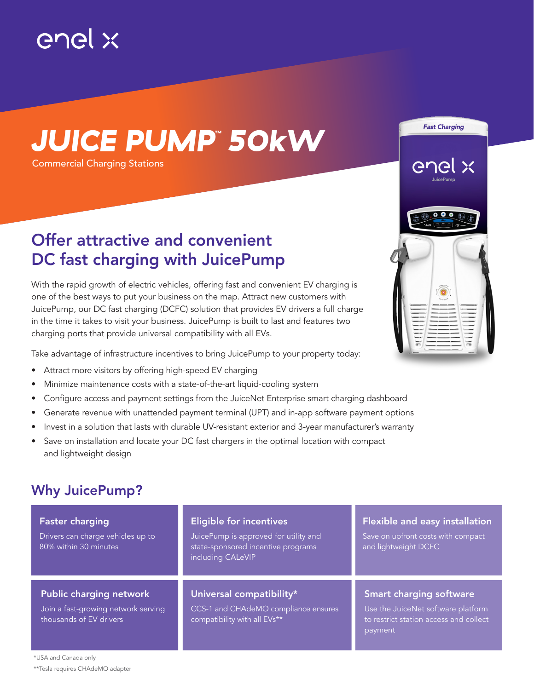

# *JUICE PUMP™ 50kW*

Commercial Charging Stations

### Offer attractive and convenient DC fast charging with JuicePump

With the rapid growth of electric vehicles, offering fast and convenient EV charging is one of the best ways to put your business on the map. Attract new customers with JuicePump, our DC fast charging (DCFC) solution that provides EV drivers a full charge in the time it takes to visit your business. JuicePump is built to last and features two charging ports that provide universal compatibility with all EVs.

Take advantage of infrastructure incentives to bring JuicePump to your property today:

- Attract more visitors by offering high-speed EV charging
- Minimize maintenance costs with a state-of-the-art liquid-cooling system
- Configure access and payment settings from the JuiceNet Enterprise smart charging dashboard
- Generate revenue with unattended payment terminal (UPT) and in-app software payment options
- Invest in a solution that lasts with durable UV-resistant exterior and 3-year manufacturer's warranty
- Save on installation and locate your DC fast chargers in the optimal location with compact and lightweight design

#### Why JuicePump?

| <b>Faster charging</b><br>Drivers can charge vehicles up to<br>80% within 30 minutes             | <b>Eligible for incentives</b><br>JuicePump is approved for utility and<br>state-sponsored incentive programs<br>including CALeVIP | <b>Flexible and easy installation</b><br>Save on upfront costs with compact<br>and lightweight DCFC                       |  |
|--------------------------------------------------------------------------------------------------|------------------------------------------------------------------------------------------------------------------------------------|---------------------------------------------------------------------------------------------------------------------------|--|
| <b>Public charging network</b><br>Join a fast-growing network serving<br>thousands of EV drivers | Universal compatibility*<br>CCS-1 and CHAdeMO compliance ensures<br>compatibility with all EVs**                                   | <b>Smart charging software</b><br>Use the JuiceNet software platform<br>to restrict station access and collect<br>payment |  |

بن

**Fast Charging**